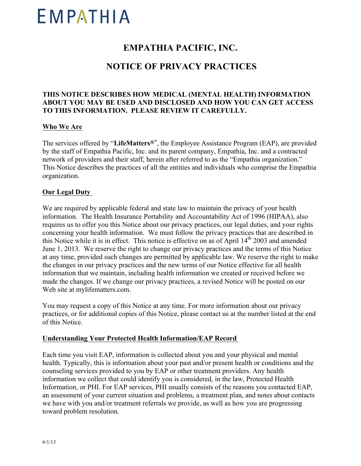# EMPATHIA

## **EMPATHIA PACIFIC, INC.**

### **NOTICE OF PRIVACY PRACTICES**

#### **THIS NOTICE DESCRIBES HOW MEDICAL (MENTAL HEALTH) INFORMATION ABOUT YOU MAY BE USED AND DISCLOSED AND HOW YOU CAN GET ACCESS TO THIS INFORMATION. PLEASE REVIEW IT CAREFULLY.**

#### **Who We Are**

The services offered by "**LifeMatters®"**, the Employee Assistance Program (EAP), are provided by the staff of Empathia Pacific, Inc. and its parent company, Empathia, Inc. and a contracted network of providers and their staff, herein after referred to as the "Empathia organization." This Notice describes the practices of all the entities and individuals who comprise the Empathia organization.

#### **Our Legal Duty**

We are required by applicable federal and state law to maintain the privacy of your health information. The Health Insurance Portability and Accountability Act of 1996 (HIPAA), also requires us to offer you this Notice about our privacy practices, our legal duties, and your rights concerning your health information. We must follow the privacy practices that are described in this Notice while it is in effect. This notice is effective on as of April 14<sup>th</sup> 2003 and amended June 1, 2013. We reserve the right to change our privacy practices and the terms of this Notice at any time, provided such changes are permitted by applicable law. We reserve the right to make the changes in our privacy practices and the new terms of our Notice effective for all health information that we maintain, including health information we created or received before we made the changes. If we change our privacy practices, a revised Notice will be posted on our Web site at mylifematters.com.

You may request a copy of this Notice at any time. For more information about our privacy practices, or for additional copies of this Notice, please contact us at the number listed at the end of this Notice.

#### **Understanding Your Protected Health Information/EAP Record**

Each time you visit EAP, information is collected about you and your physical and mental health. Typically, this is information about your past and/or present health or conditions and the counseling services provided to you by EAP or other treatment providers. Any health information we collect that could identify you is considered, in the law, Protected Health Information, or PHI. For EAP services, PHI usually consists of the reasons you contacted EAP, an assessment of your current situation and problems, a treatment plan, and notes about contacts we have with you and/or treatment referrals we provide, as well as how you are progressing toward problem resolution.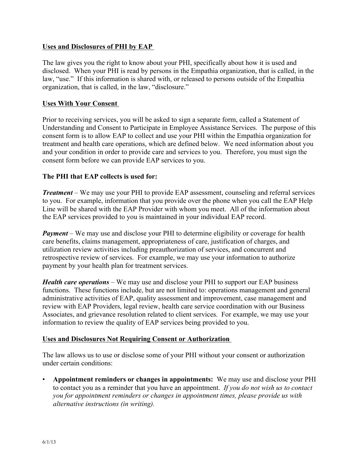#### **Uses and Disclosures of PHI by EAP**

The law gives you the right to know about your PHI, specifically about how it is used and disclosed. When your PHI is read by persons in the Empathia organization, that is called, in the law, "use." If this information is shared with, or released to persons outside of the Empathia organization, that is called, in the law, "disclosure."

#### **Uses With Your Consent**

Prior to receiving services, you will be asked to sign a separate form, called a Statement of Understanding and Consent to Participate in Employee Assistance Services. The purpose of this consent form is to allow EAP to collect and use your PHI within the Empathia organization for treatment and health care operations, which are defined below. We need information about you and your condition in order to provide care and services to you. Therefore, you must sign the consent form before we can provide EAP services to you.

#### **The PHI that EAP collects is used for:**

*Treatment* – We may use your PHI to provide EAP assessment, counseling and referral services to you. For example, information that you provide over the phone when you call the EAP Help Line will be shared with the EAP Provider with whom you meet. All of the information about the EAP services provided to you is maintained in your individual EAP record.

*Payment* – We may use and disclose your PHI to determine eligibility or coverage for health care benefits, claims management, appropriateness of care, justification of charges, and utilization review activities including preauthorization of services, and concurrent and retrospective review of services. For example, we may use your information to authorize payment by your health plan for treatment services.

*Health care operations* – We may use and disclose your PHI to support our EAP business functions. These functions include, but are not limited to: operations management and general administrative activities of EAP, quality assessment and improvement, case management and review with EAP Providers, legal review, health care service coordination with our Business Associates, and grievance resolution related to client services. For example, we may use your information to review the quality of EAP services being provided to you.

#### **Uses and Disclosures Not Requiring Consent or Authorization**

The law allows us to use or disclose some of your PHI without your consent or authorization under certain conditions:

• **Appointment reminders or changes in appointments:** We may use and disclose your PHI to contact you as a reminder that you have an appointment. *If you do not wish us to contact you for appointment reminders or changes in appointment times, please provide us with alternative instructions (in writing).*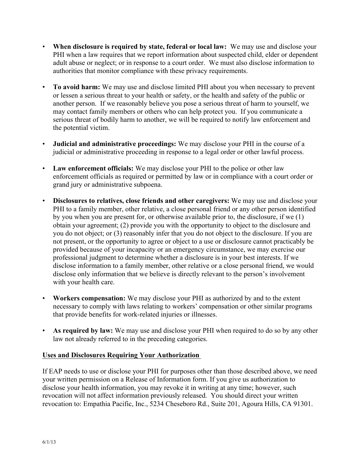- **When disclosure is required by state, federal or local law:** We may use and disclose your PHI when a law requires that we report information about suspected child, elder or dependent adult abuse or neglect; or in response to a court order. We must also disclose information to authorities that monitor compliance with these privacy requirements.
- **To avoid harm:** We may use and disclose limited PHI about you when necessary to prevent or lessen a serious threat to your health or safety, or the health and safety of the public or another person. If we reasonably believe you pose a serious threat of harm to yourself, we may contact family members or others who can help protect you. If you communicate a serious threat of bodily harm to another, we will be required to notify law enforcement and the potential victim.
- **Judicial and administrative proceedings:** We may disclose your PHI in the course of a judicial or administrative proceeding in response to a legal order or other lawful process.
- **Law enforcement officials:** We may disclose your PHI to the police or other law enforcement officials as required or permitted by law or in compliance with a court order or grand jury or administrative subpoena.
- **Disclosures to relatives, close friends and other caregivers:** We may use and disclose your PHI to a family member, other relative, a close personal friend or any other person identified by you when you are present for, or otherwise available prior to, the disclosure, if we (1) obtain your agreement; (2) provide you with the opportunity to object to the disclosure and you do not object; or (3) reasonably infer that you do not object to the disclosure. If you are not present, or the opportunity to agree or object to a use or disclosure cannot practicably be provided because of your incapacity or an emergency circumstance, we may exercise our professional judgment to determine whether a disclosure is in your best interests. If we disclose information to a family member, other relative or a close personal friend, we would disclose only information that we believe is directly relevant to the person's involvement with your health care.
- **Workers compensation:** We may disclose your PHI as authorized by and to the extent necessary to comply with laws relating to workers' compensation or other similar programs that provide benefits for work-related injuries or illnesses.
- **As required by law:** We may use and disclose your PHI when required to do so by any other law not already referred to in the preceding categories.

#### **Uses and Disclosures Requiring Your Authorization**

If EAP needs to use or disclose your PHI for purposes other than those described above, we need your written permission on a Release of Information form. If you give us authorization to disclose your health information, you may revoke it in writing at any time; however, such revocation will not affect information previously released. You should direct your written revocation to: Empathia Pacific, Inc., 5234 Cheseboro Rd., Suite 201, Agoura Hills, CA 91301.